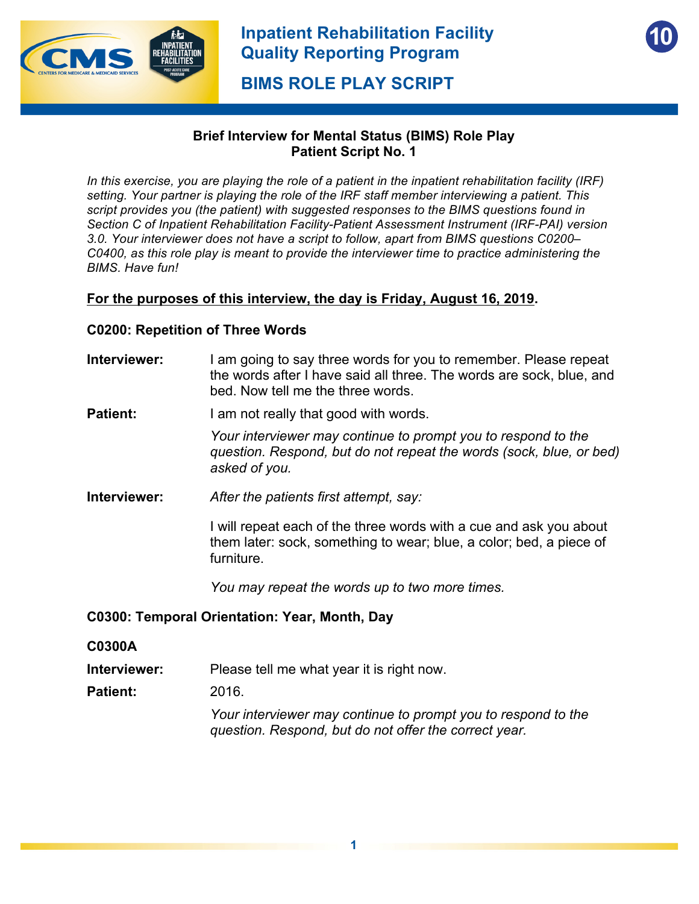

**10**

**BIMS ROLE PLAY SCRIPT**

## **Brief Interview for Mental Status (BIMS) Role Play Patient Script No. 1**

*In this exercise, you are playing the role of a patient in the inpatient rehabilitation facility (IRF) setting. Your partner is playing the role of the IRF staff member interviewing a patient. This script provides you (the patient) with suggested responses to the BIMS questions found in Section C of Inpatient Rehabilitation Facility-Patient Assessment Instrument (IRF-PAI) version 3.0. Your interviewer does not have a script to follow, apart from BIMS questions C0200– C0400, as this role play is meant to provide the interviewer time to practice administering the BIMS. Have fun!*

## **For the purposes of this interview, the day is Friday, August 16, 2019.**

#### **C0200: Repetition of Three Words**

- **Interviewer:** I am going to say three words for you to remember. Please repeat the words after I have said all three. The words are sock, blue, and bed. Now tell me the three words.
- **Patient:** I am not really that good with words.

*Your interviewer may continue to prompt you to respond to the question. Respond, but do not repeat the words (sock, blue, or bed) asked of you.* 

**Interviewer:** *After the patients first attempt, say:* 

I will repeat each of the three words with a cue and ask you about them later: sock, something to wear; blue, a color; bed, a piece of furniture.

*You may repeat the words up to two more times.* 

#### **C0300: Temporal Orientation: Year, Month, Day**

- **C0300A**
- **Interviewer:** Please tell me what year it is right now.
- **Patient:** 2016.

*Your interviewer may continue to prompt you to respond to the question. Respond, but do not offer the correct year.*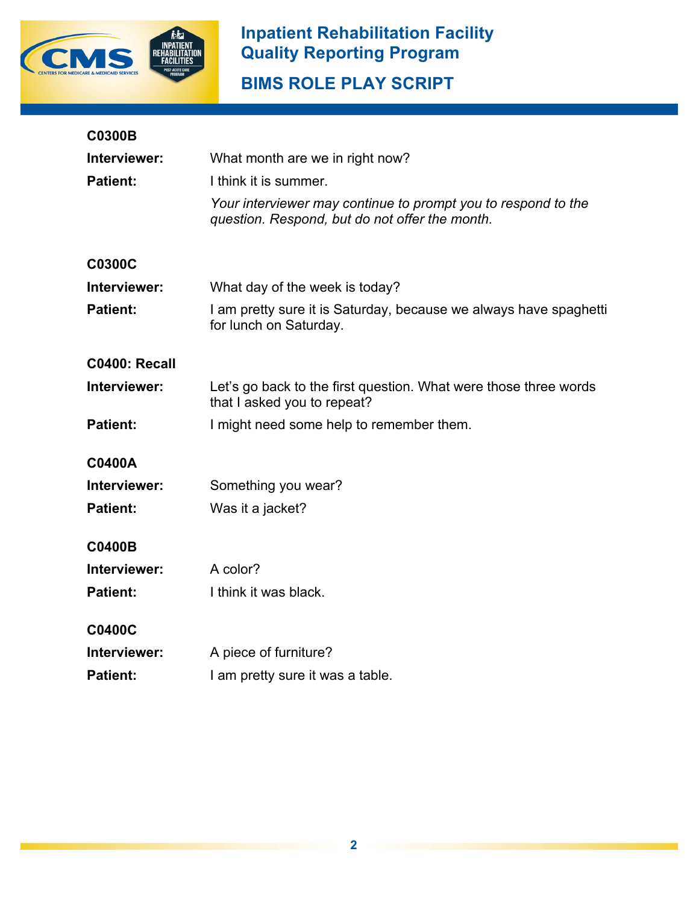

## **Inpatient Rehabilitation Facility Quality Reporting Program**

**BIMS ROLE PLAY SCRIPT**

| <b>C0300B</b>   |                                                                                                                 |
|-----------------|-----------------------------------------------------------------------------------------------------------------|
| Interviewer:    | What month are we in right now?                                                                                 |
| <b>Patient:</b> | I think it is summer.                                                                                           |
|                 | Your interviewer may continue to prompt you to respond to the<br>question. Respond, but do not offer the month. |
| <b>C0300C</b>   |                                                                                                                 |
| Interviewer:    | What day of the week is today?                                                                                  |
| <b>Patient:</b> | I am pretty sure it is Saturday, because we always have spaghetti<br>for lunch on Saturday.                     |
| C0400: Recall   |                                                                                                                 |
| Interviewer:    | Let's go back to the first question. What were those three words<br>that I asked you to repeat?                 |
| <b>Patient:</b> | I might need some help to remember them.                                                                        |
| <b>C0400A</b>   |                                                                                                                 |
| Interviewer:    | Something you wear?                                                                                             |
| <b>Patient:</b> | Was it a jacket?                                                                                                |
| <b>C0400B</b>   |                                                                                                                 |
| Interviewer:    | A color?                                                                                                        |
| <b>Patient:</b> | I think it was black.                                                                                           |
| <b>C0400C</b>   |                                                                                                                 |
| Interviewer:    | A piece of furniture?                                                                                           |
| <b>Patient:</b> | I am pretty sure it was a table.                                                                                |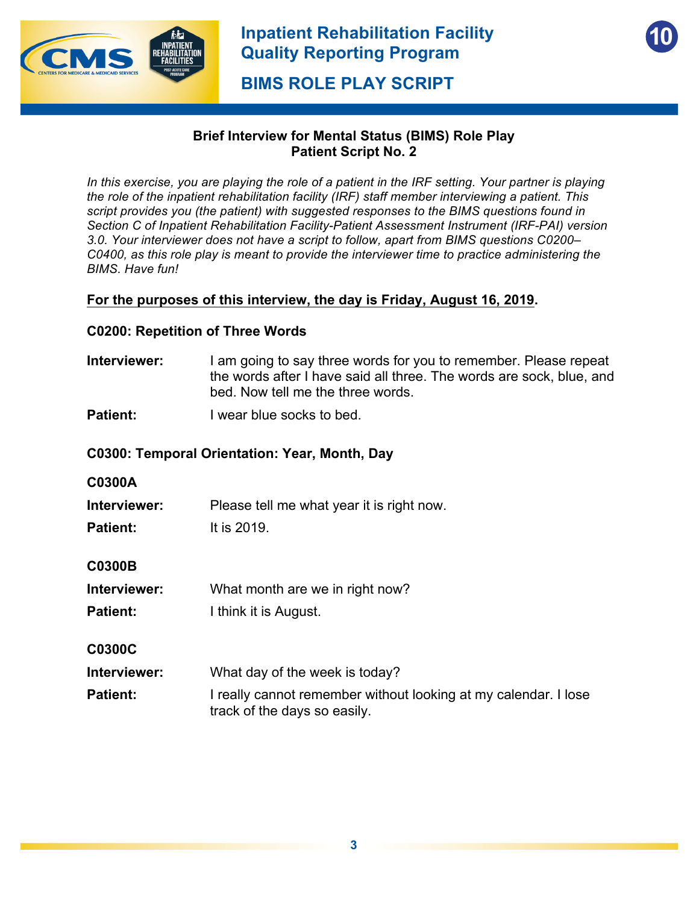

**10**

**BIMS ROLE PLAY SCRIPT**

## **Brief Interview for Mental Status (BIMS) Role Play Patient Script No. 2**

*In this exercise, you are playing the role of a patient in the IRF setting. Your partner is playing the role of the inpatient rehabilitation facility (IRF) staff member interviewing a patient. This script provides you (the patient) with suggested responses to the BIMS questions found in Section C of Inpatient Rehabilitation Facility-Patient Assessment Instrument (IRF-PAI) version 3.0. Your interviewer does not have a script to follow, apart from BIMS questions C0200– C0400, as this role play is meant to provide the interviewer time to practice administering the BIMS. Have fun!*

## **For the purposes of this interview, the day is Friday, August 16, 2019.**

#### **C0200: Repetition of Three Words**

- **Interviewer:** I am going to say three words for you to remember. Please repeat the words after I have said all three. The words are sock, blue, and bed. Now tell me the three words.
- **Patient: I** wear blue socks to bed.

#### **C0300: Temporal Orientation: Year, Month, Day**

#### **C0300A**

**Interviewer:** Please tell me what year it is right now.

**Patient:** It is 2019.

#### **C0300B**

- **Interviewer:** What month are we in right now?
- **Patient:** I think it is August.

#### **C0300C**

- **Interviewer:** What day of the week is today?
- **Patient:** I really cannot remember without looking at my calendar. I lose track of the days so easily.